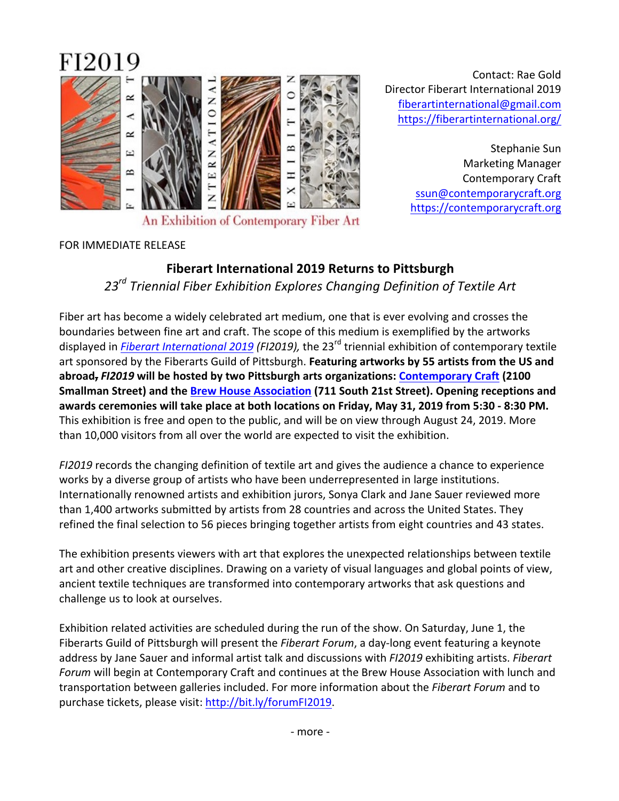

Contact: Rae Gold Director Fiberart International 2019 fiberartinternational@gmail.com https://fiberartinternational.org/

> Stephanie Sun Marketing Manager Contemporary Craft ssun@contemporarycraft.org https://contemporarycraft.org

## FOR IMMEDIATE RELEASE

# **Fiberart International 2019 Returns to Pittsburgh** 23<sup>rd</sup> Triennial Fiber Exhibition Explores Changing Definition of Textile Art

Fiber art has become a widely celebrated art medium, one that is ever evolving and crosses the boundaries between fine art and craft. The scope of this medium is exemplified by the artworks displayed in *Fiberart International 2019 (FI2019)*, the 23<sup>rd</sup> triennial exhibition of contemporary textile art sponsored by the Fiberarts Guild of Pittsburgh. Featuring artworks by 55 artists from the US and abroad, *FI2019* will be hosted by two Pittsburgh arts organizations: Contemporary Craft (2100 **Smallman Street) and the Brew House Association (711 South 21st Street). Opening receptions and** awards ceremonies will take place at both locations on Friday, May 31, 2019 from 5:30 - 8:30 PM. This exhibition is free and open to the public, and will be on view through August 24, 2019. More than 10,000 visitors from all over the world are expected to visit the exhibition.

*FI2019* records the changing definition of textile art and gives the audience a chance to experience works by a diverse group of artists who have been underrepresented in large institutions. Internationally renowned artists and exhibition jurors, Sonya Clark and Jane Sauer reviewed more than 1,400 artworks submitted by artists from 28 countries and across the United States. They refined the final selection to 56 pieces bringing together artists from eight countries and 43 states.

The exhibition presents viewers with art that explores the unexpected relationships between textile art and other creative disciplines. Drawing on a variety of visual languages and global points of view, ancient textile techniques are transformed into contemporary artworks that ask questions and challenge us to look at ourselves.

Exhibition related activities are scheduled during the run of the show. On Saturday, June 1, the Fiberarts Guild of Pittsburgh will present the *Fiberart Forum*, a day-long event featuring a keynote address by Jane Sauer and informal artist talk and discussions with *FI2019* exhibiting artists. *Fiberart Forum* will begin at Contemporary Craft and continues at the Brew House Association with lunch and transportation between galleries included. For more information about the *Fiberart Forum* and to purchase tickets, please visit: http://bit.ly/forumFI2019.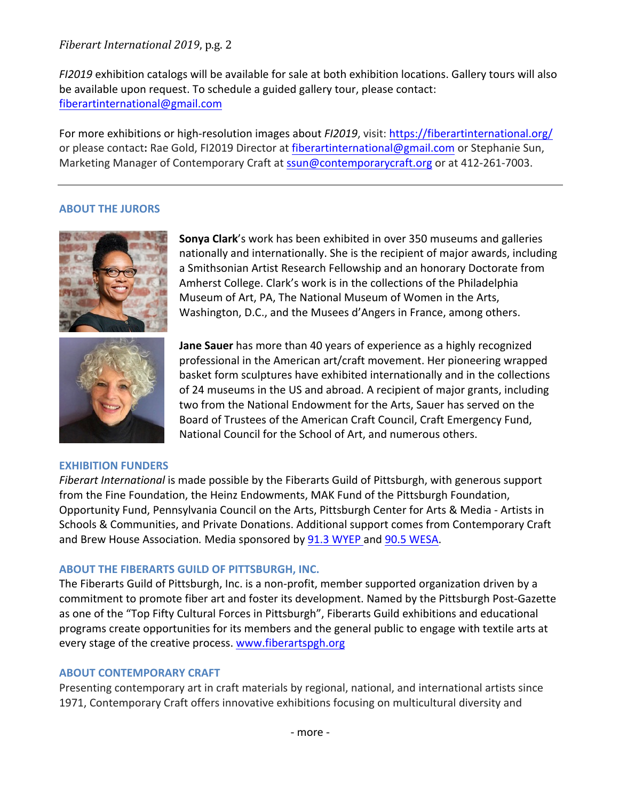# *Fiberart International 2019*, p.g. 2

*FI2019* exhibition catalogs will be available for sale at both exhibition locations. Gallery tours will also be available upon request. To schedule a guided gallery tour, please contact: fiberartinternational@gmail.com

For more exhibitions or high-resolution images about *FI2019*, visit: https://fiberartinternational.org/ or please contact: Rae Gold, FI2019 Director at fiberartinternational@gmail.com or Stephanie Sun, Marketing Manager of Contemporary Craft at ssun@contemporarycraft.org or at 412-261-7003.

## **ABOUT THE JURORS**



**Sonya Clark**'s work has been exhibited in over 350 museums and galleries nationally and internationally. She is the recipient of major awards, including a Smithsonian Artist Research Fellowship and an honorary Doctorate from Amherst College. Clark's work is in the collections of the Philadelphia Museum of Art, PA, The National Museum of Women in the Arts, Washington, D.C., and the Musees d'Angers in France, among others.



#### **EXHIBITION FUNDERS**

basket form sculptures have exhibited internationally and in the collections of 24 museums in the US and abroad. A recipient of major grants, including two from the National Endowment for the Arts, Sauer has served on the Board of Trustees of the American Craft Council, Craft Emergency Fund, National Council for the School of Art, and numerous others.

**Jane Sauer** has more than 40 years of experience as a highly recognized professional in the American art/craft movement. Her pioneering wrapped

*Fiberart International* is made possible by the Fiberarts Guild of Pittsburgh, with generous support from the Fine Foundation, the Heinz Endowments, MAK Fund of the Pittsburgh Foundation, Opportunity Fund, Pennsylvania Council on the Arts, Pittsburgh Center for Arts & Media - Artists in Schools & Communities, and Private Donations. Additional support comes from Contemporary Craft and Brew House Association. Media sponsored by 91.3 WYEP and 90.5 WESA.

## **ABOUT THE FIBERARTS GUILD OF PITTSBURGH, INC.**

The Fiberarts Guild of Pittsburgh, Inc. is a non-profit, member supported organization driven by a commitment to promote fiber art and foster its development. Named by the Pittsburgh Post-Gazette as one of the "Top Fifty Cultural Forces in Pittsburgh", Fiberarts Guild exhibitions and educational programs create opportunities for its members and the general public to engage with textile arts at every stage of the creative process. www.fiberartspgh.org

## **ABOUT CONTEMPORARY CRAFT**

Presenting contemporary art in craft materials by regional, national, and international artists since 1971, Contemporary Craft offers innovative exhibitions focusing on multicultural diversity and